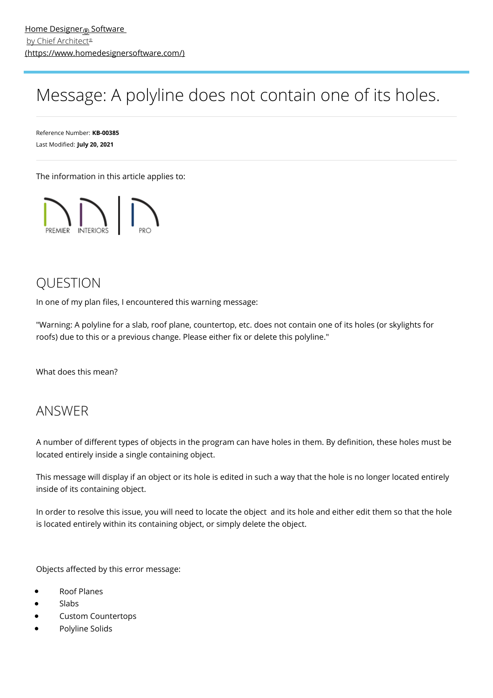# Message: A polyline does not contain one of its holes.

Reference Number: **KB-00385** Last Modified: **July 20, 2021**

The information in this article applies to:



## QUESTION

In one of my plan files, I encountered this warning message:

"Warning: A polyline for a slab, roof plane, countertop, etc. does not contain one of its holes (or skylights for roofs) due to this or a previous change. Please either fix or delete this polyline."

What does this mean?

## ANSWER

A number of different types of objects in the program can have holes in them. By definition, these holes must be located entirely inside a single containing object.

This message will display if an object or its hole is edited in such a way that the hole is no longer located entirely inside of its containing object.

In order to resolve this issue, you will need to locate the object and its hole and either edit them so that the hole is located entirely within its containing object, or simply delete the object.

Objects affected by this error message:

- Roof Planes
- Slabs
- Custom Countertops
- Polyline Solids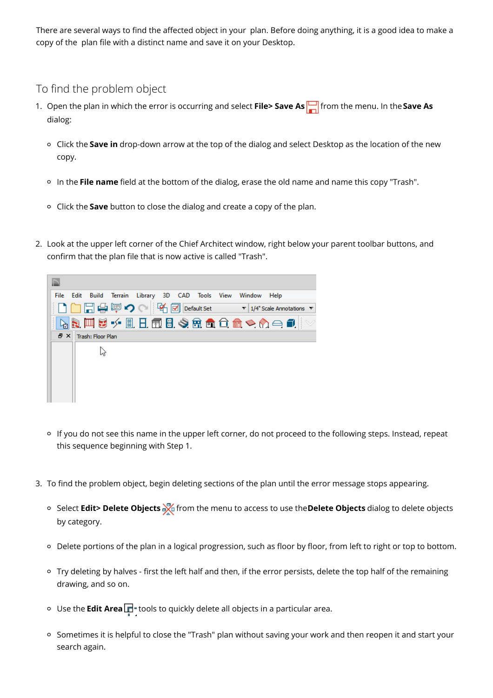There are several ways to find the affected object in your plan. Before doing anything, it is a good idea to make a copy of the plan file with a distinct name and save it on your Desktop.

### To find the problem object

- 1. Open the plan in which the error is occurring and select **File> Save As** from the menu. In the**Save As** dialog:
	- Click the **Save in** drop-down arrow at the top of the dialog and select Desktop as the location of the new copy.
	- In the **File name** field at the bottom of the dialog, erase the old name and name this copy "Trash".
	- Click the **Save** button to close the dialog and create a copy of the plan.
- 2. Look at the upper left corner of the Chief Architect window, right below your parent toolbar buttons, and confirm that the plan file that is now active is called "Trash".



- If you do not see this name in the upper left corner, do not proceed to the following steps. Instead, repeat this sequence beginning with Step 1.
- 3. To find the problem object, begin deleting sections of the plan until the error message stops appearing.
	- Select **Edit> Delete Objects** from the menu to access to use the**Delete Objects** dialog to delete objects by category.
	- Delete portions of the plan in a logical progression, such as floor by floor, from left to right or top to bottom.
	- o Try deleting by halves first the left half and then, if the error persists, delete the top half of the remaining drawing, and so on.
	- **Use the Edit Area <b>T** tools to quickly delete all objects in a particular area.
	- <sup>o</sup> Sometimes it is helpful to close the "Trash" plan without saving your work and then reopen it and start your search again.